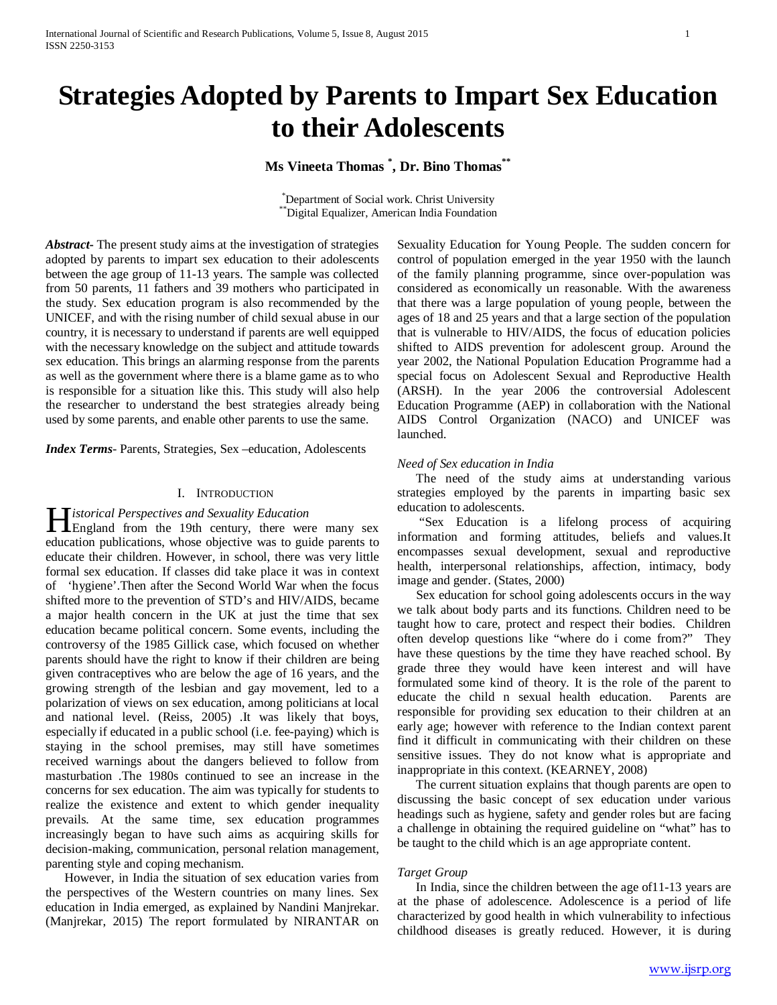# **Strategies Adopted by Parents to Impart Sex Education to their Adolescents**

# **Ms Vineeta Thomas \* , Dr. Bino Thomas\*\***

\* Department of Social work. Christ University \*\*Digital Equalizer, American India Foundation

*Abstract***-** The present study aims at the investigation of strategies adopted by parents to impart sex education to their adolescents between the age group of 11-13 years. The sample was collected from 50 parents, 11 fathers and 39 mothers who participated in the study. Sex education program is also recommended by the UNICEF, and with the rising number of child sexual abuse in our country, it is necessary to understand if parents are well equipped with the necessary knowledge on the subject and attitude towards sex education. This brings an alarming response from the parents as well as the government where there is a blame game as to who is responsible for a situation like this. This study will also help the researcher to understand the best strategies already being used by some parents, and enable other parents to use the same.

*Index Terms*- Parents, Strategies, Sex –education, Adolescents

#### I. INTRODUCTION

#### *istorical Perspectives and Sexuality Education*

**England from the 19th century, there were many sex aboution** education publications, whose objective was to guide parents to educate their children. However, in school, there was very little formal sex education. If classes did take place it was in context of 'hygiene'.Then after the Second World War when the focus shifted more to the prevention of STD's and HIV/AIDS, became a major health concern in the UK at just the time that sex education became political concern. Some events, including the controversy of the 1985 Gillick case, which focused on whether parents should have the right to know if their children are being given contraceptives who are below the age of 16 years, and the growing strength of the lesbian and gay movement, led to a polarization of views on sex education, among politicians at local and national level. (Reiss, 2005) .It was likely that boys, especially if educated in a public school (i.e. fee-paying) which is staying in the school premises, may still have sometimes received warnings about the dangers believed to follow from masturbation .The 1980s continued to see an increase in the concerns for sex education. The aim was typically for students to realize the existence and extent to which gender inequality prevails. At the same time, sex education programmes increasingly began to have such aims as acquiring skills for decision-making, communication, personal relation management, parenting style and coping mechanism.

 However, in India the situation of sex education varies from the perspectives of the Western countries on many lines. Sex education in India emerged, as explained by Nandini Manjrekar. (Manjrekar, 2015) The report formulated by NIRANTAR on

Sexuality Education for Young People. The sudden concern for control of population emerged in the year 1950 with the launch of the family planning programme, since over-population was considered as economically un reasonable. With the awareness that there was a large population of young people, between the ages of 18 and 25 years and that a large section of the population that is vulnerable to HIV/AIDS, the focus of education policies shifted to AIDS prevention for adolescent group. Around the year 2002, the National Population Education Programme had a special focus on Adolescent Sexual and Reproductive Health (ARSH). In the year 2006 the controversial Adolescent Education Programme (AEP) in collaboration with the National AIDS Control Organization (NACO) and UNICEF was launched.

#### *Need of Sex education in India*

 The need of the study aims at understanding various strategies employed by the parents in imparting basic sex education to adolescents.

 "Sex Education is a lifelong process of acquiring information and forming attitudes, beliefs and values.It encompasses sexual development, sexual and reproductive health, interpersonal relationships, affection, intimacy, body image and gender. (States, 2000)

 Sex education for school going adolescents occurs in the way we talk about body parts and its functions. Children need to be taught how to care, protect and respect their bodies. Children often develop questions like "where do i come from?" They have these questions by the time they have reached school. By grade three they would have keen interest and will have formulated some kind of theory. It is the role of the parent to educate the child n sexual health education. Parents are responsible for providing sex education to their children at an early age; however with reference to the Indian context parent find it difficult in communicating with their children on these sensitive issues. They do not know what is appropriate and inappropriate in this context. (KEARNEY, 2008)

 The current situation explains that though parents are open to discussing the basic concept of sex education under various headings such as hygiene, safety and gender roles but are facing a challenge in obtaining the required guideline on "what" has to be taught to the child which is an age appropriate content.

#### *Target Group*

 In India, since the children between the age of11-13 years are at the phase of adolescence. Adolescence is a period of life characterized by good health in which vulnerability to infectious childhood diseases is greatly reduced. However, it is during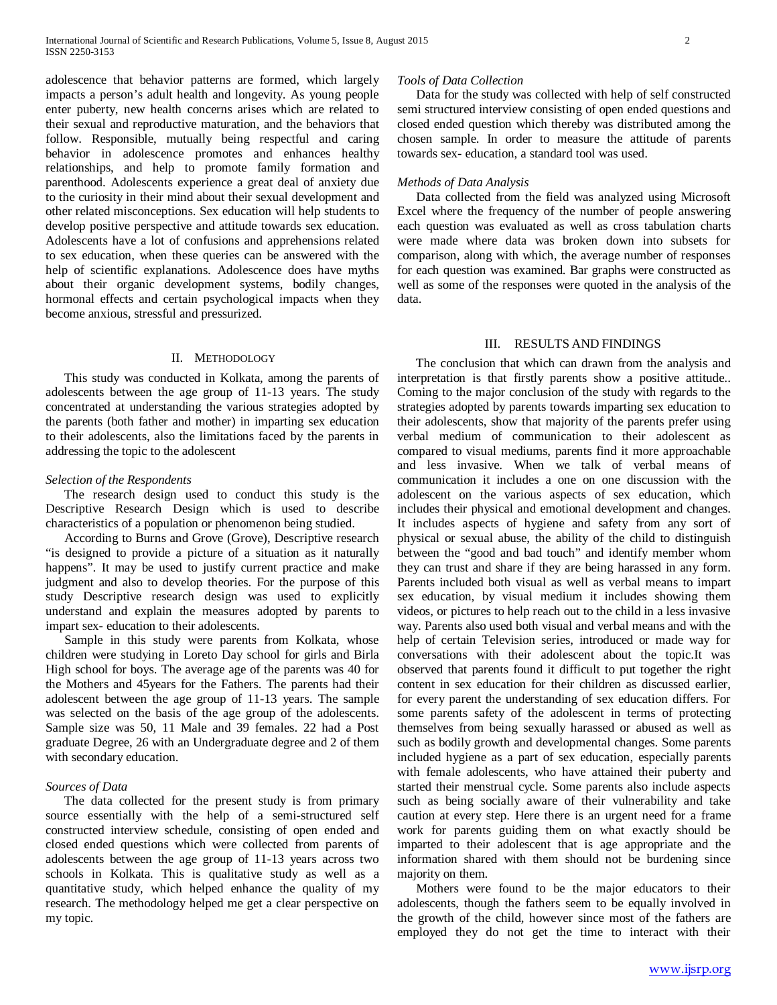adolescence that behavior patterns are formed, which largely impacts a person's adult health and longevity. As young people enter puberty, new health concerns arises which are related to their sexual and reproductive maturation, and the behaviors that follow. Responsible, mutually being respectful and caring behavior in adolescence promotes and enhances healthy relationships, and help to promote family formation and parenthood. Adolescents experience a great deal of anxiety due to the curiosity in their mind about their sexual development and other related misconceptions. Sex education will help students to develop positive perspective and attitude towards sex education. Adolescents have a lot of confusions and apprehensions related to sex education, when these queries can be answered with the help of scientific explanations. Adolescence does have myths about their organic development systems, bodily changes, hormonal effects and certain psychological impacts when they become anxious, stressful and pressurized.

#### II. METHODOLOGY

 This study was conducted in Kolkata, among the parents of adolescents between the age group of 11-13 years. The study concentrated at understanding the various strategies adopted by the parents (both father and mother) in imparting sex education to their adolescents, also the limitations faced by the parents in addressing the topic to the adolescent

# *Selection of the Respondents*

 The research design used to conduct this study is the Descriptive Research Design which is used to describe characteristics of a population or phenomenon being studied.

 According to Burns and Grove (Grove), Descriptive research "is designed to provide a picture of a situation as it naturally happens". It may be used to justify current practice and make judgment and also to develop theories. For the purpose of this study Descriptive research design was used to explicitly understand and explain the measures adopted by parents to impart sex- education to their adolescents.

 Sample in this study were parents from Kolkata, whose children were studying in Loreto Day school for girls and Birla High school for boys. The average age of the parents was 40 for the Mothers and 45years for the Fathers. The parents had their adolescent between the age group of 11-13 years. The sample was selected on the basis of the age group of the adolescents. Sample size was 50, 11 Male and 39 females. 22 had a Post graduate Degree, 26 with an Undergraduate degree and 2 of them with secondary education.

#### *Sources of Data*

 The data collected for the present study is from primary source essentially with the help of a semi-structured self constructed interview schedule, consisting of open ended and closed ended questions which were collected from parents of adolescents between the age group of 11-13 years across two schools in Kolkata. This is qualitative study as well as a quantitative study, which helped enhance the quality of my research. The methodology helped me get a clear perspective on my topic.

#### *Tools of Data Collection*

 Data for the study was collected with help of self constructed semi structured interview consisting of open ended questions and closed ended question which thereby was distributed among the chosen sample. In order to measure the attitude of parents towards sex- education, a standard tool was used.

# *Methods of Data Analysis*

 Data collected from the field was analyzed using Microsoft Excel where the frequency of the number of people answering each question was evaluated as well as cross tabulation charts were made where data was broken down into subsets for comparison, along with which, the average number of responses for each question was examined. Bar graphs were constructed as well as some of the responses were quoted in the analysis of the data.

# III. RESULTS AND FINDINGS

 The conclusion that which can drawn from the analysis and interpretation is that firstly parents show a positive attitude.. Coming to the major conclusion of the study with regards to the strategies adopted by parents towards imparting sex education to their adolescents, show that majority of the parents prefer using verbal medium of communication to their adolescent as compared to visual mediums, parents find it more approachable and less invasive. When we talk of verbal means of communication it includes a one on one discussion with the adolescent on the various aspects of sex education, which includes their physical and emotional development and changes. It includes aspects of hygiene and safety from any sort of physical or sexual abuse, the ability of the child to distinguish between the "good and bad touch" and identify member whom they can trust and share if they are being harassed in any form. Parents included both visual as well as verbal means to impart sex education, by visual medium it includes showing them videos, or pictures to help reach out to the child in a less invasive way. Parents also used both visual and verbal means and with the help of certain Television series, introduced or made way for conversations with their adolescent about the topic.It was observed that parents found it difficult to put together the right content in sex education for their children as discussed earlier, for every parent the understanding of sex education differs. For some parents safety of the adolescent in terms of protecting themselves from being sexually harassed or abused as well as such as bodily growth and developmental changes. Some parents included hygiene as a part of sex education, especially parents with female adolescents, who have attained their puberty and started their menstrual cycle. Some parents also include aspects such as being socially aware of their vulnerability and take caution at every step. Here there is an urgent need for a frame work for parents guiding them on what exactly should be imparted to their adolescent that is age appropriate and the information shared with them should not be burdening since majority on them.

 Mothers were found to be the major educators to their adolescents, though the fathers seem to be equally involved in the growth of the child, however since most of the fathers are employed they do not get the time to interact with their